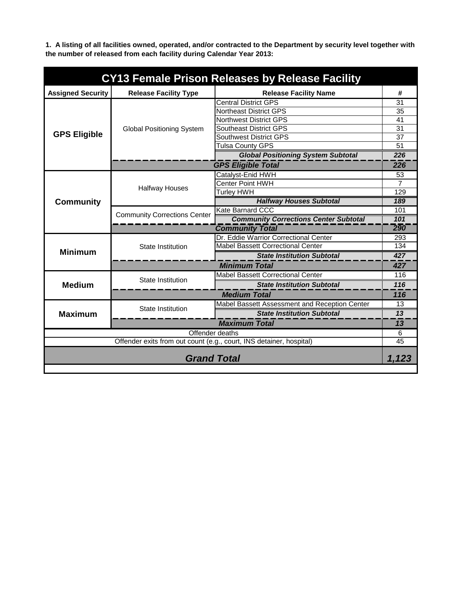**1. A listing of all facilities owned, operated, and/or contracted to the Department by security level together with the number of released from each facility during Calendar Year 2013:**

| CY13 Female Prison Releases by Release Facility                     |                                     |                                               |                |  |
|---------------------------------------------------------------------|-------------------------------------|-----------------------------------------------|----------------|--|
| <b>Assigned Security</b>                                            | <b>Release Facility Type</b>        | <b>Release Facility Name</b>                  | #              |  |
|                                                                     |                                     | <b>Central District GPS</b>                   | 31             |  |
|                                                                     |                                     | <b>Northeast District GPS</b>                 | 35             |  |
|                                                                     | <b>Global Positioning System</b>    | <b>Northwest District GPS</b>                 | 41             |  |
|                                                                     |                                     | <b>Southeast District GPS</b>                 | 31             |  |
| <b>GPS Eligible</b>                                                 |                                     | <b>Southwest District GPS</b>                 | 37             |  |
|                                                                     |                                     | Tulsa County GPS                              | 51             |  |
|                                                                     |                                     | <b>Global Positioning System Subtotal</b>     | 226            |  |
|                                                                     |                                     | <b>GPS Eligible Total</b>                     | 226            |  |
|                                                                     |                                     | Catalyst-Enid HWH                             | 53             |  |
|                                                                     | <b>Halfway Houses</b>               | <b>Center Point HWH</b>                       | $\overline{7}$ |  |
|                                                                     |                                     | <b>Turley HWH</b>                             | 129            |  |
| <b>Community</b>                                                    |                                     | <b>Halfway Houses Subtotal</b>                | 189            |  |
|                                                                     | <b>Community Corrections Center</b> | <b>Kate Barnard CCC</b>                       | 101            |  |
|                                                                     |                                     | <b>Community Corrections Center Subtotal</b>  | 101<br>290     |  |
|                                                                     | <b>Community Total</b>              |                                               |                |  |
|                                                                     | <b>State Institution</b>            | Dr. Eddie Warrior Correctional Center         | 293            |  |
| <b>Minimum</b>                                                      |                                     | <b>Mabel Bassett Correctional Center</b>      | 134            |  |
|                                                                     |                                     | <b>State Institution Subtotal</b>             | 427            |  |
|                                                                     | <b>Minimum Total</b>                |                                               | 427            |  |
|                                                                     | <b>State Institution</b>            | <b>Mabel Bassett Correctional Center</b>      | 116            |  |
| <b>Medium</b>                                                       |                                     | <b>State Institution Subtotal</b>             | 116            |  |
|                                                                     | <b>Medium Total</b>                 |                                               |                |  |
|                                                                     | <b>State Institution</b>            | Mabel Bassett Assessment and Reception Center | 13             |  |
| <b>Maximum</b>                                                      |                                     | <b>State Institution Subtotal</b>             | 13             |  |
|                                                                     | <b>Maximum Total</b>                |                                               |                |  |
| Offender deaths                                                     |                                     |                                               | 6              |  |
| Offender exits from out count (e.g., court, INS detainer, hospital) |                                     |                                               | 45             |  |
| <b>Grand Total</b>                                                  |                                     |                                               | 1,123          |  |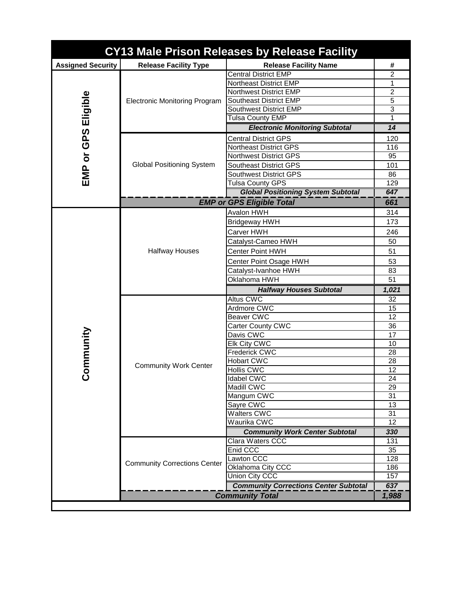| CY13 Male Prison Releases by Release Facility |                                      |                                                                        |                |  |
|-----------------------------------------------|--------------------------------------|------------------------------------------------------------------------|----------------|--|
| <b>Assigned Security</b>                      | <b>Release Facility Type</b>         | <b>Release Facility Name</b>                                           | #              |  |
|                                               |                                      | <b>Central District EMP</b>                                            | 2              |  |
|                                               |                                      | Northeast District EMP                                                 | 1              |  |
|                                               | <b>Electronic Monitoring Program</b> | Northwest District EMP                                                 | $\overline{c}$ |  |
| GPS Eligible                                  |                                      | <b>Southeast District EMP</b>                                          | 5              |  |
|                                               |                                      | <b>Southwest District EMP</b>                                          | 3              |  |
|                                               |                                      | <b>Tulsa County EMP</b>                                                | 1              |  |
|                                               |                                      | <b>Electronic Monitoring Subtotal</b>                                  | 14             |  |
|                                               |                                      | <b>Central District GPS</b>                                            | 120            |  |
|                                               |                                      | <b>Northeast District GPS</b>                                          | 116            |  |
| EMP or                                        |                                      | <b>Northwest District GPS</b>                                          | 95             |  |
|                                               | <b>Global Positioning System</b>     | <b>Southeast District GPS</b>                                          | 101            |  |
|                                               |                                      | <b>Southwest District GPS</b>                                          | 86             |  |
|                                               |                                      | <b>Tulsa County GPS</b>                                                | 129            |  |
|                                               |                                      | <b>Global Positioning System Subtotal</b>                              | 647            |  |
|                                               | <b>EMP or GPS Eligible Total</b>     |                                                                        | 661            |  |
|                                               |                                      | <b>Avalon HWH</b>                                                      | 314            |  |
|                                               |                                      | Bridgeway HWH                                                          | 173            |  |
|                                               |                                      | Carver HWH                                                             | 246            |  |
|                                               |                                      | Catalyst-Cameo HWH                                                     | 50             |  |
|                                               | <b>Halfway Houses</b>                | Center Point HWH                                                       | 51             |  |
|                                               |                                      | Center Point Osage HWH                                                 | 53             |  |
|                                               |                                      | Catalyst-Ivanhoe HWH                                                   | 83             |  |
|                                               |                                      | Oklahoma HWH                                                           | 51             |  |
|                                               |                                      |                                                                        |                |  |
|                                               |                                      |                                                                        |                |  |
|                                               |                                      | <b>Halfway Houses Subtotal</b>                                         | 1,021          |  |
|                                               |                                      | <b>Altus CWC</b>                                                       | 32             |  |
|                                               |                                      | Ardmore CWC<br>Beaver CWC                                              | 15<br>12       |  |
|                                               |                                      |                                                                        | 36             |  |
|                                               |                                      | <b>Carter County CWC</b><br>Davis CWC                                  | 17             |  |
|                                               |                                      | Elk City CWC                                                           | 10             |  |
|                                               |                                      | Frederick CWC                                                          | 28             |  |
|                                               |                                      | <b>Hobart CWC</b>                                                      | 28             |  |
| ommunity                                      | <b>Community Work Center</b>         | <b>Hollis CWC</b>                                                      | 12             |  |
|                                               |                                      | <b>Idabel CWC</b>                                                      | 24             |  |
|                                               |                                      | Madill CWC                                                             | 29             |  |
|                                               |                                      | Mangum CWC                                                             | 31             |  |
|                                               |                                      | Sayre CWC                                                              | 13             |  |
|                                               |                                      | <b>Walters CWC</b>                                                     | 31             |  |
|                                               |                                      | Waurika CWC                                                            | 12             |  |
|                                               |                                      | <b>Community Work Center Subtotal</b>                                  | 330            |  |
|                                               |                                      | Clara Waters CCC                                                       | 131            |  |
|                                               |                                      | Enid CCC                                                               | 35             |  |
|                                               | <b>Community Corrections Center</b>  | Lawton CCC                                                             | 128            |  |
|                                               |                                      | Oklahoma City CCC                                                      | 186            |  |
|                                               |                                      | Union City CCC                                                         | 157            |  |
|                                               |                                      | <b>Community Corrections Center Subtotal</b><br><b>Community Total</b> | 637<br>1,988   |  |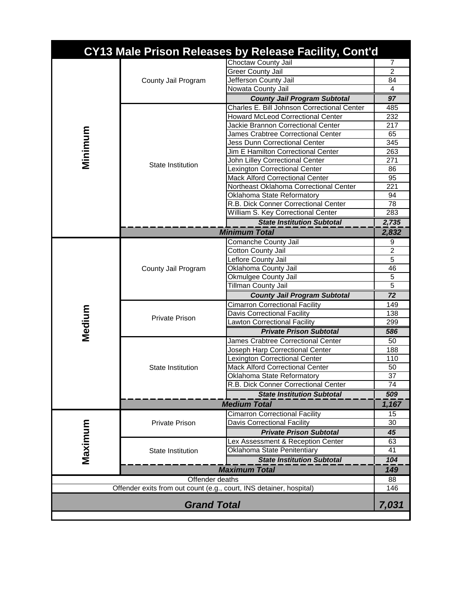|                    |                                                                     | CY13 Male Prison Releases by Release Facility, Cont'd |                |
|--------------------|---------------------------------------------------------------------|-------------------------------------------------------|----------------|
|                    | County Jail Program                                                 | Choctaw County Jail                                   | 7              |
|                    |                                                                     | <b>Greer County Jail</b>                              | $\overline{2}$ |
|                    |                                                                     | Jefferson County Jail                                 | 84             |
|                    |                                                                     | Nowata County Jail                                    | 4              |
|                    |                                                                     | <b>County Jail Program Subtotal</b>                   | 97             |
|                    |                                                                     | Charles E. Bill Johnson Correctional Center           | 485            |
|                    |                                                                     | <b>Howard McLeod Correctional Center</b>              | 232            |
|                    |                                                                     | Jackie Brannon Correctional Center                    | 217            |
| Minimum            |                                                                     | James Crabtree Correctional Center                    | 65             |
|                    |                                                                     | <b>Jess Dunn Correctional Center</b>                  | 345            |
|                    |                                                                     | Jim E Hamilton Correctional Center                    | 263            |
|                    |                                                                     | John Lilley Correctional Center                       | 271            |
|                    | State Institution                                                   | Lexington Correctional Center                         | 86             |
|                    |                                                                     | <b>Mack Alford Correctional Center</b>                | 95             |
|                    |                                                                     | Northeast Oklahoma Correctional Center                | 221            |
|                    |                                                                     | Oklahoma State Reformatory                            | 94             |
|                    |                                                                     | R.B. Dick Conner Correctional Center                  | 78             |
|                    |                                                                     | William S. Key Correctional Center                    | 283            |
|                    |                                                                     | <b>State Institution Subtotal</b>                     | 2,735          |
|                    |                                                                     | <b>Minimum Total</b>                                  | 2,832          |
|                    | County Jail Program                                                 | Comanche County Jail                                  | 9              |
|                    |                                                                     | Cotton County Jail                                    | $\overline{c}$ |
|                    |                                                                     | Leflore County Jail                                   | 5              |
|                    |                                                                     | Oklahoma County Jail                                  | 46             |
|                    |                                                                     | <b>Okmulgee County Jail</b>                           | 5              |
|                    |                                                                     | Tillman County Jail                                   | $\overline{5}$ |
|                    |                                                                     | <b>County Jail Program Subtotal</b>                   | 72             |
|                    | <b>Private Prison</b>                                               | <b>Cimarron Correctional Facility</b>                 | 149            |
|                    |                                                                     | Davis Correctional Facility                           | 138            |
|                    |                                                                     | Lawton Correctional Facility                          | 299            |
| Medium             |                                                                     | <b>Private Prison Subtotal</b>                        | 586            |
|                    | <b>State Institution</b>                                            | James Crabtree Correctional Center                    | 50             |
|                    |                                                                     | Joseph Harp Correctional Center                       | 188            |
|                    |                                                                     | Lexington Correctional Center                         | 110            |
|                    |                                                                     | <b>Mack Alford Correctional Center</b>                | 50             |
|                    |                                                                     | Oklahoma State Reformatory                            | 37             |
|                    |                                                                     | R.B. Dick Conner Correctional Center                  | 74             |
|                    |                                                                     | <b>State Institution Subtotal</b>                     | 509            |
|                    |                                                                     | <b>Medium Total</b>                                   | 1,167          |
|                    |                                                                     | <b>Cimarron Correctional Facility</b>                 | 15             |
|                    | <b>Private Prison</b>                                               | <b>Davis Correctional Facility</b>                    | 30             |
| Maximum            |                                                                     | <b>Private Prison Subtotal</b>                        | 45             |
|                    |                                                                     | Lex Assessment & Reception Center                     | 63             |
|                    | <b>State Institution</b>                                            | Oklahoma State Penitentiary                           | 41             |
|                    |                                                                     | <b>State Institution Subtotal</b>                     | 104            |
|                    | <b>Maximum Total</b>                                                |                                                       | 149            |
|                    | Offender deaths                                                     |                                                       | 88             |
|                    | Offender exits from out count (e.g., court, INS detainer, hospital) |                                                       | 146            |
|                    |                                                                     |                                                       |                |
| <b>Grand Total</b> |                                                                     |                                                       | 7,031          |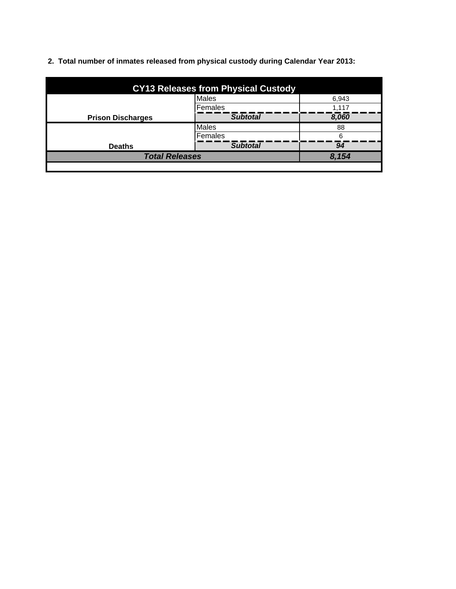**2. Total number of inmates released from physical custody during Calendar Year 2013:**

| <b>CY13 Releases from Physical Custody</b> |                 |       |  |
|--------------------------------------------|-----------------|-------|--|
|                                            | <b>Males</b>    | 6,943 |  |
|                                            | Females         | 1.117 |  |
| <b>Prison Discharges</b>                   | <b>Subtotal</b> | 8,060 |  |
|                                            | <b>Males</b>    | 88    |  |
|                                            | Females         | 6     |  |
| <b>Deaths</b>                              | <b>Subtotal</b> | 94    |  |
| <b>Total Releases</b>                      |                 | 8,154 |  |
|                                            |                 |       |  |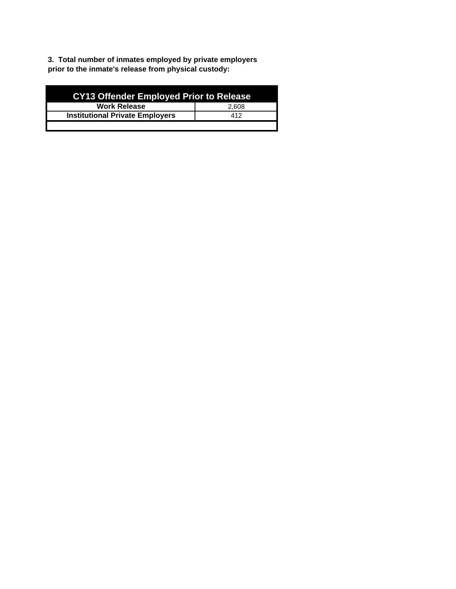**3. Total number of inmates employed by private employers prior to the inmate's release from physical custody:**

| <b>CY13 Offender Employed Prior to Release</b> |       |  |  |
|------------------------------------------------|-------|--|--|
| <b>Work Release</b>                            | 2.608 |  |  |
| <b>Institutional Private Employers</b>         | 412   |  |  |
|                                                |       |  |  |